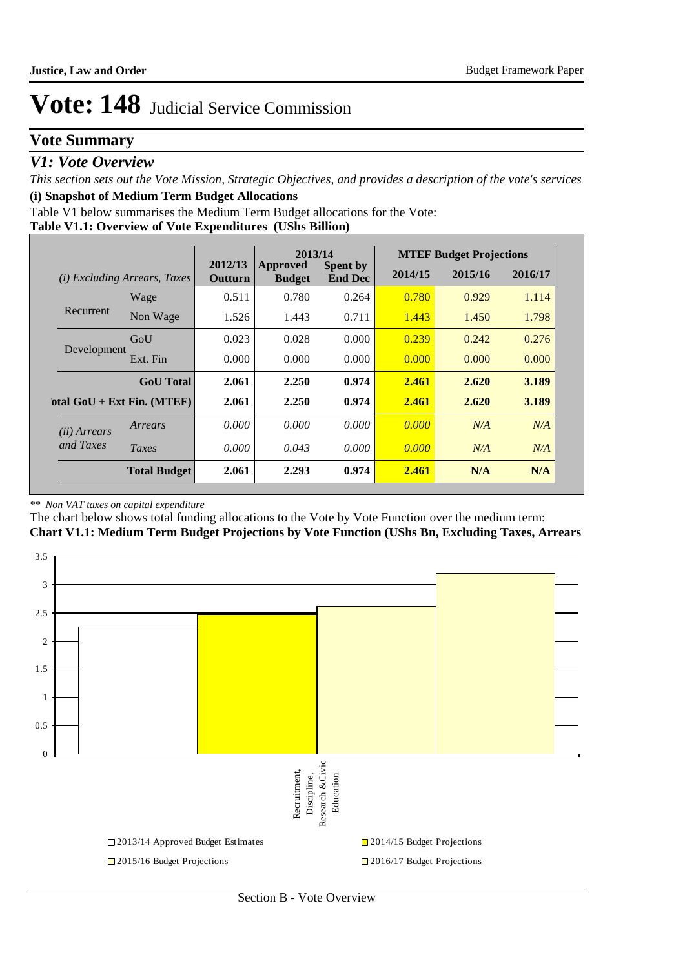## **Vote Summary**

### *V1: Vote Overview*

*This section sets out the Vote Mission, Strategic Objectives, and provides a description of the vote's services* **(i) Snapshot of Medium Term Budget Allocations** 

Table V1 below summarises the Medium Term Budget allocations for the Vote:

#### **Table V1.1: Overview of Vote Expenditures (UShs Billion)**

|                       |                              |                           | 2013/14                   |                                   |         | <b>MTEF Budget Projections</b> |         |
|-----------------------|------------------------------|---------------------------|---------------------------|-----------------------------------|---------|--------------------------------|---------|
| (i)                   | Excluding Arrears, Taxes     | 2012/13<br><b>Outturn</b> | Approved<br><b>Budget</b> | <b>Spent by</b><br><b>End Dec</b> | 2014/15 | 2015/16                        | 2016/17 |
|                       | Wage                         | 0.511                     | 0.780                     | 0.264                             | 0.780   | 0.929                          | 1.114   |
| Recurrent             | Non Wage                     | 1.526                     | 1.443                     | 0.711                             | 1.443   | 1.450                          | 1.798   |
|                       | GoU                          | 0.023                     | 0.028                     | 0.000                             | 0.239   | 0.242                          | 0.276   |
| Development           | Ext. Fin                     | 0.000                     | 0.000                     | 0.000                             | 0.000   | 0.000                          | 0.000   |
|                       | <b>GoU</b> Total             | 2.061                     | 2.250                     | 0.974                             | 2.461   | 2.620                          | 3.189   |
|                       | otal $GoU + Ext Fin. (MTEF)$ | 2.061                     | 2.250                     | 0.974                             | 2.461   | 2.620                          | 3.189   |
| ( <i>ii</i> ) Arrears | Arrears                      | 0.000                     | 0.000                     | 0.000                             | 0.000   | N/A                            | N/A     |
| and Taxes             | Taxes                        | 0.000                     | 0.043                     | 0.000                             | 0.000   | N/A                            | N/A     |
|                       | <b>Total Budget</b>          | 2.061                     | 2.293                     | 0.974                             | 2.461   | N/A                            | N/A     |

#### *\*\* Non VAT taxes on capital expenditure*

The chart below shows total funding allocations to the Vote by Vote Function over the medium term:

**Chart V1.1: Medium Term Budget Projections by Vote Function (UShs Bn, Excluding Taxes, Arrears**

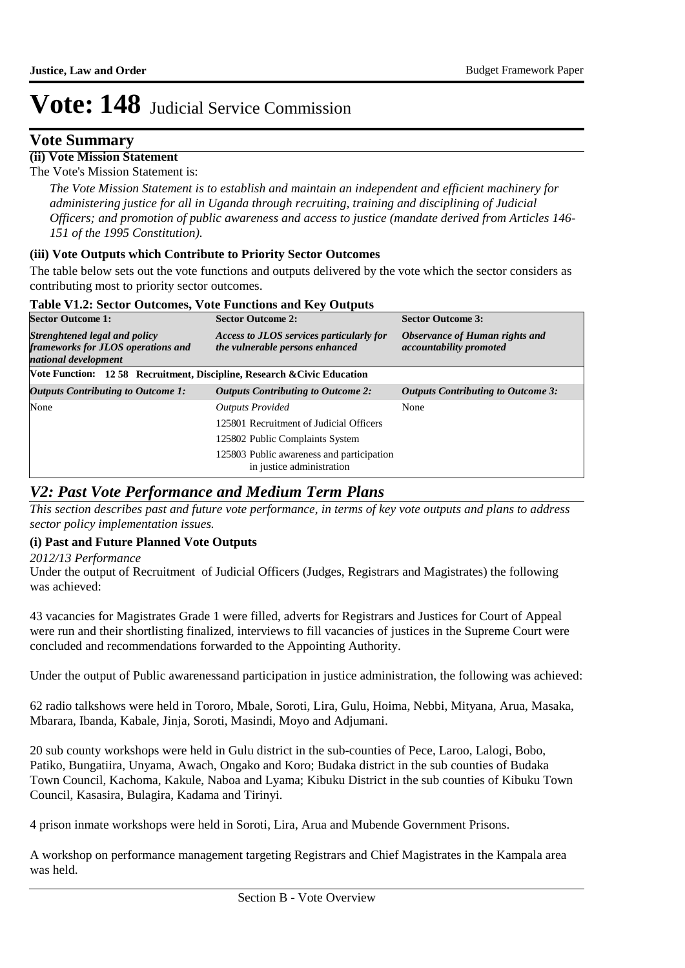### **Vote Summary**

**(ii) Vote Mission Statement**

The Vote's Mission Statement is:

*The Vote Mission Statement is to establish and maintain an independent and efficient machinery for administering justice for all in Uganda through recruiting, training and disciplining of Judicial Officers; and promotion of public awareness and access to justice (mandate derived from Articles 146- 151 of the 1995 Constitution).*

#### **(iii) Vote Outputs which Contribute to Priority Sector Outcomes**

The table below sets out the vote functions and outputs delivered by the vote which the sector considers as contributing most to priority sector outcomes.

#### **Table V1.2: Sector Outcomes, Vote Functions and Key Outputs**

| <b>Sector Outcome 1:</b>                                                                    | <b>Sector Outcome 2:</b>                                                    | <b>Sector Outcome 3:</b>                                  |
|---------------------------------------------------------------------------------------------|-----------------------------------------------------------------------------|-----------------------------------------------------------|
| Strenghtened legal and policy<br>frameworks for JLOS operations and<br>national development | Access to JLOS services particularly for<br>the vulnerable persons enhanced | Observance of Human rights and<br>accountability promoted |
| Vote Function: 1258 Recruitment, Discipline, Research & Civic Education                     |                                                                             |                                                           |
| <b>Outputs Contributing to Outcome 1:</b>                                                   | <b>Outputs Contributing to Outcome 2:</b>                                   | <b>Outputs Contributing to Outcome 3:</b>                 |
| None                                                                                        | <b>Outputs Provided</b>                                                     | None                                                      |
|                                                                                             | 125801 Recruitment of Judicial Officers                                     |                                                           |
|                                                                                             | 125802 Public Complaints System                                             |                                                           |
|                                                                                             | 125803 Public awareness and participation<br>in justice administration      |                                                           |

### *V2: Past Vote Performance and Medium Term Plans*

*This section describes past and future vote performance, in terms of key vote outputs and plans to address sector policy implementation issues.* 

### **(i) Past and Future Planned Vote Outputs**

*2012/13 Performance*

Under the output of Recruitment of Judicial Officers (Judges, Registrars and Magistrates) the following was achieved:

43 vacancies for Magistrates Grade 1 were filled, adverts for Registrars and Justices for Court of Appeal were run and their shortlisting finalized, interviews to fill vacancies of justices in the Supreme Court were concluded and recommendations forwarded to the Appointing Authority.

Under the output of Public awarenessand participation in justice administration, the following was achieved:

62 radio talkshows were held in Tororo, Mbale, Soroti, Lira, Gulu, Hoima, Nebbi, Mityana, Arua, Masaka, Mbarara, Ibanda, Kabale, Jinja, Soroti, Masindi, Moyo and Adjumani.

20 sub county workshops were held in Gulu district in the sub-counties of Pece, Laroo, Lalogi, Bobo, Patiko, Bungatiira, Unyama, Awach, Ongako and Koro; Budaka district in the sub counties of Budaka Town Council, Kachoma, Kakule, Naboa and Lyama; Kibuku District in the sub counties of Kibuku Town Council, Kasasira, Bulagira, Kadama and Tirinyi.

4 prison inmate workshops were held in Soroti, Lira, Arua and Mubende Government Prisons.

A workshop on performance management targeting Registrars and Chief Magistrates in the Kampala area was held.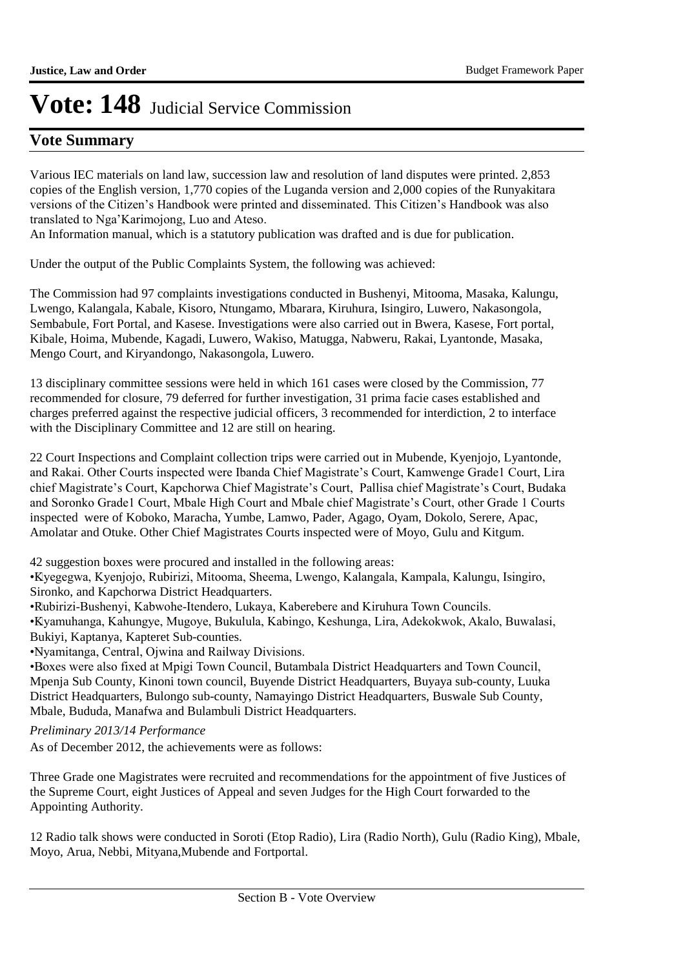## **Vote Summary**

Various IEC materials on land law, succession law and resolution of land disputes were printed. 2,853 copies of the English version, 1,770 copies of the Luganda version and 2,000 copies of the Runyakitara versions of the Citizen's Handbook were printed and disseminated. This Citizen's Handbook was also translated to Nga'Karimojong, Luo and Ateso.

An Information manual, which is a statutory publication was drafted and is due for publication.

Under the output of the Public Complaints System, the following was achieved:

The Commission had 97 complaints investigations conducted in Bushenyi, Mitooma, Masaka, Kalungu, Lwengo, Kalangala, Kabale, Kisoro, Ntungamo, Mbarara, Kiruhura, Isingiro, Luwero, Nakasongola, Sembabule, Fort Portal, and Kasese. Investigations were also carried out in Bwera, Kasese, Fort portal, Kibale, Hoima, Mubende, Kagadi, Luwero, Wakiso, Matugga, Nabweru, Rakai, Lyantonde, Masaka, Mengo Court, and Kiryandongo, Nakasongola, Luwero.

13 disciplinary committee sessions were held in which 161 cases were closed by the Commission, 77 recommended for closure, 79 deferred for further investigation, 31 prima facie cases established and charges preferred against the respective judicial officers, 3 recommended for interdiction, 2 to interface with the Disciplinary Committee and 12 are still on hearing.

22 Court Inspections and Complaint collection trips were carried out in Mubende, Kyenjojo, Lyantonde, and Rakai. Other Courts inspected were Ibanda Chief Magistrate's Court, Kamwenge Grade1 Court, Lira chief Magistrate's Court, Kapchorwa Chief Magistrate's Court, Pallisa chief Magistrate's Court, Budaka and Soronko Grade1 Court, Mbale High Court and Mbale chief Magistrate's Court, other Grade 1 Courts inspected were of Koboko, Maracha, Yumbe, Lamwo, Pader, Agago, Oyam, Dokolo, Serere, Apac, Amolatar and Otuke. Other Chief Magistrates Courts inspected were of Moyo, Gulu and Kitgum.

42 suggestion boxes were procured and installed in the following areas:

• Kyegegwa, Kyenjojo, Rubirizi, Mitooma, Sheema, Lwengo, Kalangala, Kampala, Kalungu, Isingiro, Sironko, and Kapchorwa District Headquarters.

•Rubirizi-Bushenyi, Kabwohe-Itendero, Lukaya, Kaberebere and Kiruhura Town Councils.

• Kyamuhanga, Kahungye, Mugoye, Bukulula, Kabingo, Keshunga, Lira, Adekokwok, Akalo, Buwalasi, Bukiyi, Kaptanya, Kapteret Sub-counties.

• Nyamitanga, Central, Ojwina and Railway Divisions.

• Boxes were also fixed at Mpigi Town Council, Butambala District Headquarters and Town Council, Mpenja Sub County, Kinoni town council, Buyende District Headquarters, Buyaya sub-county, Luuka District Headquarters, Bulongo sub-county, Namayingo District Headquarters, Buswale Sub County, Mbale, Bududa, Manafwa and Bulambuli District Headquarters.

*Preliminary 2013/14 Performance*

As of December 2012, the achievements were as follows:

Three Grade one Magistrates were recruited and recommendations for the appointment of five Justices of the Supreme Court, eight Justices of Appeal and seven Judges for the High Court forwarded to the Appointing Authority.

12 Radio talk shows were conducted in Soroti (Etop Radio), Lira (Radio North), Gulu (Radio King), Mbale, Moyo, Arua, Nebbi, Mityana,Mubende and Fortportal.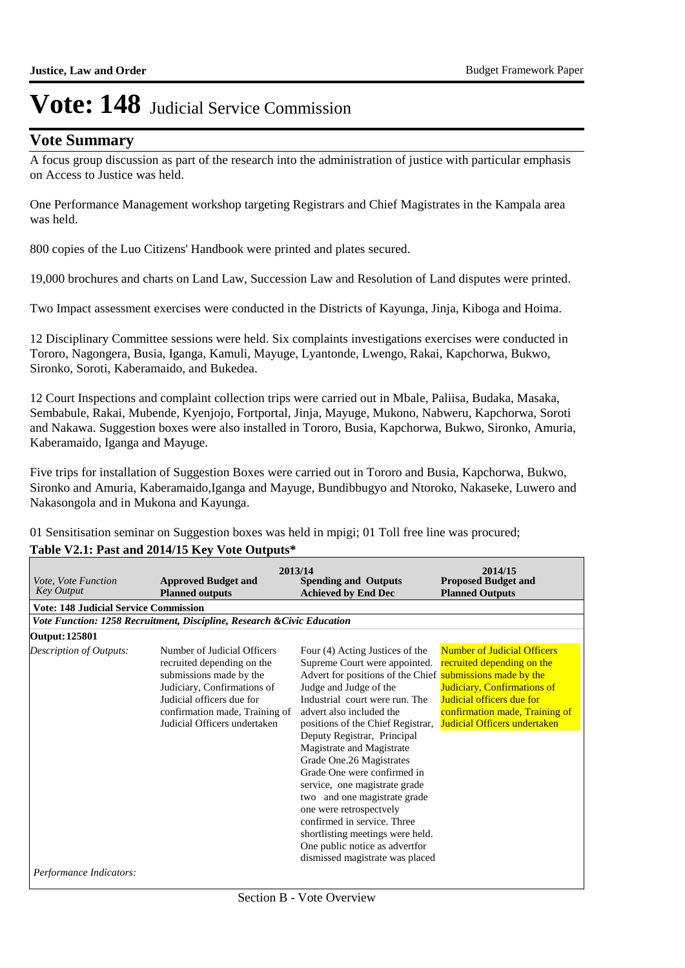### **Vote Summary**

A focus group discussion as part of the research into the administration of justice with particular emphasis on Access to Justice was held.

One Performance Management workshop targeting Registrars and Chief Magistrates in the Kampala area was held.

800 copies of the Luo Citizens' Handbook were printed and plates secured.

19,000 brochures and charts on Land Law, Succession Law and Resolution of Land disputes were printed.

Two Impact assessment exercises were conducted in the Districts of Kayunga, Jinja, Kiboga and Hoima.

12 Disciplinary Committee sessions were held. Six complaints investigations exercises were conducted in Tororo, Nagongera, Busia, Iganga, Kamuli, Mayuge, Lyantonde, Lwengo, Rakai, Kapchorwa, Bukwo, Sironko, Soroti, Kaberamaido, and Bukedea.

12 Court Inspections and complaint collection trips were carried out in Mbale, Paliisa, Budaka, Masaka, Sembabule, Rakai, Mubende, Kyenjojo, Fortportal, Jinja, Mayuge, Mukono, Nabweru, Kapchorwa, Soroti and Nakawa. Suggestion boxes were also installed in Tororo, Busia, Kapchorwa, Bukwo, Sironko, Amuria, Kaberamaido, Iganga and Mayuge.

Five trips for installation of Suggestion Boxes were carried out in Tororo and Busia, Kapchorwa, Bukwo, Sironko and Amuria, Kaberamaido,Iganga and Mayuge, Bundibbugyo and Ntoroko, Nakaseke, Luwero and Nakasongola and in Mukona and Kayunga.

01 Sensitisation seminar on Suggestion boxes was held in mpigi; 01 Toll free line was procured;

#### **Table V2.1: Past and 2014/15 Key Vote Outputs\***

| <i>Vote, Vote Function</i><br><b>Key Output</b>    | <b>Approved Budget and</b><br><b>Planned outputs</b>                                                                                                                                                               | 2013/14<br><b>Spending and Outputs</b><br><b>Achieved by End Dec</b>                                                                                                                                                                                                                                                                                                                                                                                                                                                                                                                                                  | 2014/15<br><b>Proposed Budget and</b><br><b>Planned Outputs</b>                                                                                                                                       |
|----------------------------------------------------|--------------------------------------------------------------------------------------------------------------------------------------------------------------------------------------------------------------------|-----------------------------------------------------------------------------------------------------------------------------------------------------------------------------------------------------------------------------------------------------------------------------------------------------------------------------------------------------------------------------------------------------------------------------------------------------------------------------------------------------------------------------------------------------------------------------------------------------------------------|-------------------------------------------------------------------------------------------------------------------------------------------------------------------------------------------------------|
| <b>Vote: 148 Judicial Service Commission</b>       |                                                                                                                                                                                                                    |                                                                                                                                                                                                                                                                                                                                                                                                                                                                                                                                                                                                                       |                                                                                                                                                                                                       |
|                                                    | Vote Function: 1258 Recruitment, Discipline, Research & Civic Education                                                                                                                                            |                                                                                                                                                                                                                                                                                                                                                                                                                                                                                                                                                                                                                       |                                                                                                                                                                                                       |
| Output: 125801                                     |                                                                                                                                                                                                                    |                                                                                                                                                                                                                                                                                                                                                                                                                                                                                                                                                                                                                       |                                                                                                                                                                                                       |
| Description of Outputs:<br>Performance Indicators: | Number of Judicial Officers<br>recruited depending on the<br>submissions made by the<br>Judiciary, Confirmations of<br>Judicial officers due for<br>confirmation made, Training of<br>Judicial Officers undertaken | Four (4) Acting Justices of the<br>Supreme Court were appointed.<br>Advert for positions of the Chief submissions made by the<br>Judge and Judge of the<br>Industrial court were run. The<br>advert also included the<br>positions of the Chief Registrar,<br>Deputy Registrar, Principal<br>Magistrate and Magistrate<br>Grade One.26 Magistrates<br>Grade One were confirmed in<br>service, one magistrate grade<br>two and one magistrate grade<br>one were retrospectvely<br>confirmed in service. Three<br>shortlisting meetings were held.<br>One public notice as advertfor<br>dismissed magistrate was placed | <b>Number of Judicial Officers</b><br>recruited depending on the<br><b>Judiciary, Confirmations of</b><br>Judicial officers due for<br>confirmation made, Training of<br>Judicial Officers undertaken |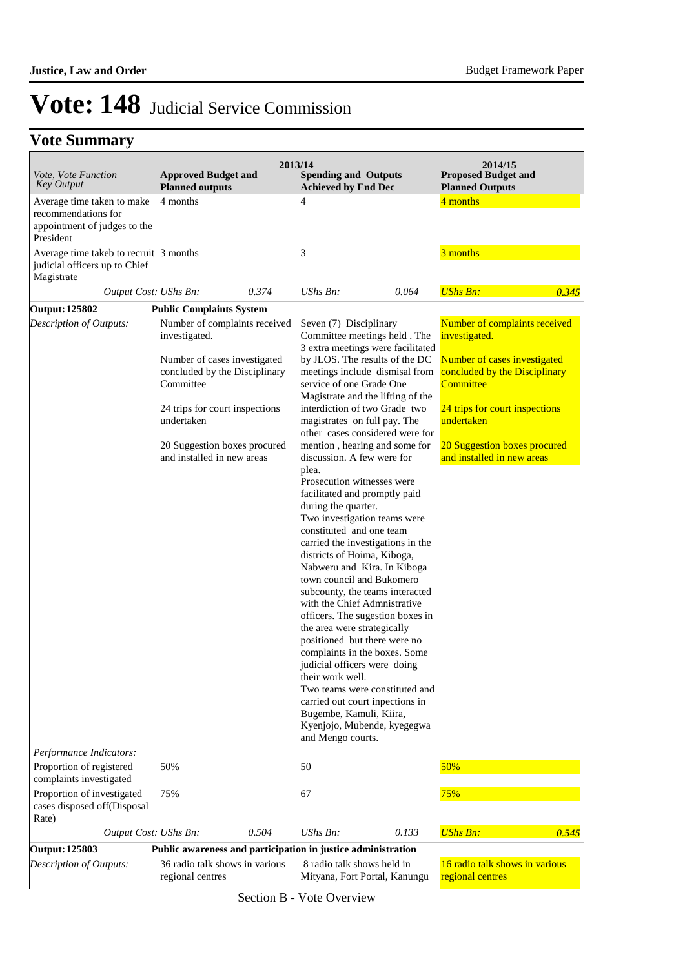## **Vote Summary**

| Vote, Vote Function<br><b>Key Output</b>                                              | <b>Approved Budget and</b><br><b>Planned outputs</b>                       |       | 2013/14<br><b>Spending and Outputs</b><br><b>Achieved by End Dec</b>                                                                                                                                                                                                                                                                                                                                                                                                                                                                                                                                                                                                                                   |       | 2014/15<br><b>Proposed Budget and</b><br><b>Planned Outputs</b>            |       |
|---------------------------------------------------------------------------------------|----------------------------------------------------------------------------|-------|--------------------------------------------------------------------------------------------------------------------------------------------------------------------------------------------------------------------------------------------------------------------------------------------------------------------------------------------------------------------------------------------------------------------------------------------------------------------------------------------------------------------------------------------------------------------------------------------------------------------------------------------------------------------------------------------------------|-------|----------------------------------------------------------------------------|-------|
| Average time taken to make                                                            | 4 months                                                                   |       | $\overline{4}$                                                                                                                                                                                                                                                                                                                                                                                                                                                                                                                                                                                                                                                                                         |       | 4 months                                                                   |       |
| recommendations for<br>appointment of judges to the<br>President                      |                                                                            |       |                                                                                                                                                                                                                                                                                                                                                                                                                                                                                                                                                                                                                                                                                                        |       |                                                                            |       |
| Average time takeb to recruit 3 months<br>judicial officers up to Chief<br>Magistrate |                                                                            |       | 3                                                                                                                                                                                                                                                                                                                                                                                                                                                                                                                                                                                                                                                                                                      |       | 3 months                                                                   |       |
| Output Cost: UShs Bn:                                                                 |                                                                            | 0.374 | UShs Bn:                                                                                                                                                                                                                                                                                                                                                                                                                                                                                                                                                                                                                                                                                               | 0.064 | <b>UShs Bn:</b>                                                            | 0.345 |
| Output: 125802                                                                        | <b>Public Complaints System</b>                                            |       |                                                                                                                                                                                                                                                                                                                                                                                                                                                                                                                                                                                                                                                                                                        |       |                                                                            |       |
| Description of Outputs:                                                               | Number of complaints received<br>investigated.                             |       | Seven (7) Disciplinary<br>Committee meetings held. The<br>3 extra meetings were facilitated                                                                                                                                                                                                                                                                                                                                                                                                                                                                                                                                                                                                            |       | Number of complaints received<br>investigated.                             |       |
|                                                                                       | Number of cases investigated<br>concluded by the Disciplinary<br>Committee |       | by JLOS. The results of the DC<br>meetings include dismisal from<br>service of one Grade One<br>Magistrate and the lifting of the                                                                                                                                                                                                                                                                                                                                                                                                                                                                                                                                                                      |       | Number of cases investigated<br>concluded by the Disciplinary<br>Committee |       |
|                                                                                       | 24 trips for court inspections<br>undertaken                               |       | interdiction of two Grade two<br>magistrates on full pay. The<br>other cases considered were for                                                                                                                                                                                                                                                                                                                                                                                                                                                                                                                                                                                                       |       | 24 trips for court inspections<br>undertaken                               |       |
|                                                                                       | 20 Suggestion boxes procured<br>and installed in new areas                 |       | mention, hearing and some for<br>discussion. A few were for                                                                                                                                                                                                                                                                                                                                                                                                                                                                                                                                                                                                                                            |       | 20 Suggestion boxes procured<br>and installed in new areas                 |       |
| Performance Indicators:                                                               |                                                                            |       | plea.<br>Prosecution witnesses were<br>facilitated and promptly paid<br>during the quarter.<br>Two investigation teams were<br>constituted and one team<br>carried the investigations in the<br>districts of Hoima, Kiboga,<br>Nabweru and Kira. In Kiboga<br>town council and Bukomero<br>subcounty, the teams interacted<br>with the Chief Admnistrative<br>officers. The sugestion boxes in<br>the area were strategically<br>positioned but there were no<br>complaints in the boxes. Some<br>judicial officers were doing<br>their work well.<br>Two teams were constituted and<br>carried out court inpections in<br>Bugembe, Kamuli, Kiira,<br>Kyenjojo, Mubende, kyegegwa<br>and Mengo courts. |       |                                                                            |       |
| Proportion of registered                                                              | 50%                                                                        |       | 50                                                                                                                                                                                                                                                                                                                                                                                                                                                                                                                                                                                                                                                                                                     |       | 50%                                                                        |       |
| complaints investigated                                                               |                                                                            |       |                                                                                                                                                                                                                                                                                                                                                                                                                                                                                                                                                                                                                                                                                                        |       |                                                                            |       |
| Proportion of investigated<br>cases disposed off(Disposal<br>Rate)                    | 75%                                                                        |       | 67                                                                                                                                                                                                                                                                                                                                                                                                                                                                                                                                                                                                                                                                                                     |       | 75%                                                                        |       |
| Output Cost: UShs Bn:                                                                 |                                                                            | 0.504 | UShs Bn:                                                                                                                                                                                                                                                                                                                                                                                                                                                                                                                                                                                                                                                                                               | 0.133 | <b>UShs Bn:</b>                                                            | 0.545 |
| <b>Output: 125803</b>                                                                 |                                                                            |       | Public awareness and participation in justice administration                                                                                                                                                                                                                                                                                                                                                                                                                                                                                                                                                                                                                                           |       |                                                                            |       |
| Description of Outputs:                                                               | 36 radio talk shows in various<br>regional centres                         |       | 8 radio talk shows held in<br>Mityana, Fort Portal, Kanungu                                                                                                                                                                                                                                                                                                                                                                                                                                                                                                                                                                                                                                            |       | 16 radio talk shows in various<br>regional centres                         |       |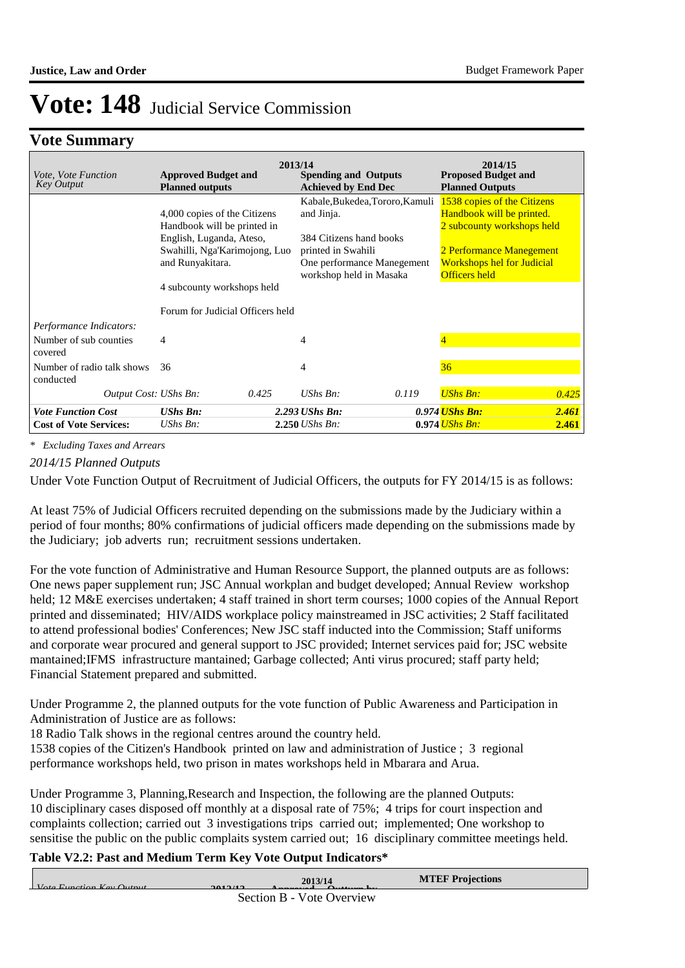### **Vote Summary**

| Vote, Vote Function<br><b>Key Output</b>                     | <b>Approved Budget and</b><br><b>Planned outputs</b>                                                                                                                       | 2013/14 | <b>Spending and Outputs</b><br><b>Achieved by End Dec</b>                                                                                               |       | 2014/15<br><b>Proposed Budget and</b><br><b>Planned Outputs</b>                                                                                                          |       |
|--------------------------------------------------------------|----------------------------------------------------------------------------------------------------------------------------------------------------------------------------|---------|---------------------------------------------------------------------------------------------------------------------------------------------------------|-------|--------------------------------------------------------------------------------------------------------------------------------------------------------------------------|-------|
|                                                              | 4,000 copies of the Citizens<br>Handbook will be printed in<br>English, Luganda, Ateso,<br>Swahilli, Nga'Karimojong, Luo<br>and Runyakitara.<br>4 subcounty workshops held |         | Kabale, Bukedea, Tororo, Kamuli<br>and Jinja.<br>384 Citizens hand books<br>printed in Swahili<br>One performance Manegement<br>workshop held in Masaka |       | 1538 copies of the Citizens<br>Handbook will be printed.<br>2 subcounty workshops held<br>2 Performance Manegement<br><b>Workshops hel for Judicial</b><br>Officers held |       |
|                                                              | Forum for Judicial Officers held                                                                                                                                           |         |                                                                                                                                                         |       |                                                                                                                                                                          |       |
| Performance Indicators:<br>Number of sub counties<br>covered | 4                                                                                                                                                                          |         | 4                                                                                                                                                       |       | $\overline{4}$                                                                                                                                                           |       |
| Number of radio talk shows<br>conducted                      | 36                                                                                                                                                                         |         | 4                                                                                                                                                       |       | 36                                                                                                                                                                       |       |
| Output Cost: UShs Bn:                                        |                                                                                                                                                                            | 0.425   | $UShs$ $Bn$ :                                                                                                                                           | 0.119 | <b>UShs Bn:</b>                                                                                                                                                          | 0.425 |
| <b>Vote Function Cost</b>                                    | <b>UShs Bn:</b>                                                                                                                                                            |         | 2.293 UShs Bn:                                                                                                                                          |       | 0.974 <i>UShs Bn:</i>                                                                                                                                                    | 2.461 |
| <b>Cost of Vote Services:</b>                                | UShs $Bn$ :                                                                                                                                                                |         | $2.250$ UShs Bn:                                                                                                                                        |       | $0.974$ UShs Bn:                                                                                                                                                         | 2.461 |

*\* Excluding Taxes and Arrears*

#### *2014/15 Planned Outputs*

Under Vote Function Output of Recruitment of Judicial Officers, the outputs for FY 2014/15 is as follows:

At least 75% of Judicial Officers recruited depending on the submissions made by the Judiciary within a period of four months; 80% confirmations of judicial officers made depending on the submissions made by the Judiciary; job adverts run; recruitment sessions undertaken.

For the vote function of Administrative and Human Resource Support, the planned outputs are as follows: One news paper supplement run; JSC Annual workplan and budget developed; Annual Review workshop held; 12 M&E exercises undertaken; 4 staff trained in short term courses; 1000 copies of the Annual Report printed and disseminated; HIV/AIDS workplace policy mainstreamed in JSC activities; 2 Staff facilitated to attend professional bodies' Conferences; New JSC staff inducted into the Commission; Staff uniforms and corporate wear procured and general support to JSC provided; Internet services paid for; JSC website mantained;IFMS infrastructure mantained; Garbage collected; Anti virus procured; staff party held; Financial Statement prepared and submitted.

Under Programme 2, the planned outputs for the vote function of Public Awareness and Participation in Administration of Justice are as follows:

18 Radio Talk shows in the regional centres around the country held.

1538 copies of the Citizen's Handbook printed on law and administration of Justice ; 3 regional performance workshops held, two prison in mates workshops held in Mbarara and Arua.

Under Programme 3, Planning,Research and Inspection, the following are the planned Outputs: 10 disciplinary cases disposed off monthly at a disposal rate of 75%; 4 trips for court inspection and complaints collection; carried out 3 investigations trips carried out; implemented; One workshop to sensitise the public on the public complaits system carried out; 16 disciplinary committee meetings held.

#### **Table V2.2: Past and Medium Term Key Vote Output Indicators\***

| $V_{\alpha}$ $E_{\alpha}$ $E_{\alpha}$ $V_{\alpha}$ $V_{\alpha}$ | 2013/14<br>$201212$       | <b>MTEF Projections</b> |
|------------------------------------------------------------------|---------------------------|-------------------------|
|                                                                  | Section B - Vote Overview |                         |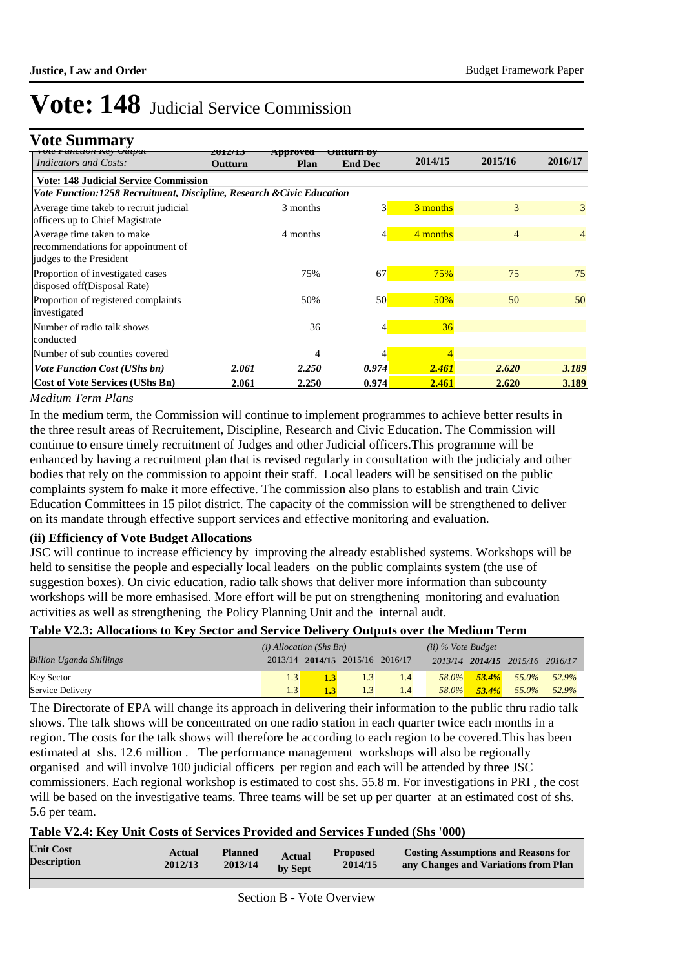### **Vote Summary**

| үөн гипсион кеу өшриг<br><b>Indicators and Costs:</b>                  | 201 <i>2</i> /19<br>Outturn | Approveu<br>Plan | uurn vv<br><b>End Dec</b> | 2014/15  | 2015/16 | 2016/17 |  |  |  |  |  |
|------------------------------------------------------------------------|-----------------------------|------------------|---------------------------|----------|---------|---------|--|--|--|--|--|
| <b>Vote: 148 Judicial Service Commission</b>                           |                             |                  |                           |          |         |         |  |  |  |  |  |
| Vote Function:1258 Recruitment, Discipline, Research & Civic Education |                             |                  |                           |          |         |         |  |  |  |  |  |
| Average time takeb to recruit judicial                                 |                             | 3 months         | $\overline{3}$            | 3 months | 3       | 3       |  |  |  |  |  |
| officers up to Chief Magistrate                                        |                             |                  |                           |          |         |         |  |  |  |  |  |
| Average time taken to make                                             |                             | 4 months         | 4                         | 4 months | 4       |         |  |  |  |  |  |
| recommendations for appointment of                                     |                             |                  |                           |          |         |         |  |  |  |  |  |
| judges to the President                                                |                             |                  |                           |          |         |         |  |  |  |  |  |
| Proportion of investigated cases                                       |                             | 75%              | 67                        | 75%      | 75      | 75      |  |  |  |  |  |
| disposed off(Disposal Rate)                                            |                             |                  |                           |          |         |         |  |  |  |  |  |
| Proportion of registered complaints                                    |                             | 50%              | 50                        | 50%      | 50      | 50      |  |  |  |  |  |
| investigated                                                           |                             |                  |                           |          |         |         |  |  |  |  |  |
| Number of radio talk shows                                             |                             | 36               | 4                         | 36       |         |         |  |  |  |  |  |
| conducted                                                              |                             |                  |                           |          |         |         |  |  |  |  |  |
| Number of sub counties covered                                         |                             | 4                |                           |          |         |         |  |  |  |  |  |
| <b>Vote Function Cost (UShs bn)</b>                                    | 2.061                       | 2.250            | 0.974                     | 2.461    | 2.620   | 3.189   |  |  |  |  |  |
| <b>Cost of Vote Services (UShs Bn)</b>                                 | 2.061                       | 2.250            | 0.974                     | 2.461    | 2.620   | 3.189   |  |  |  |  |  |

#### *Medium Term Plans*

In the medium term, the Commission will continue to implement programmes to achieve better results in the three result areas of Recruitement, Discipline, Research and Civic Education. The Commission will continue to ensure timely recruitment of Judges and other Judicial officers.This programme will be enhanced by having a recruitment plan that is revised regularly in consultation with the judicialy and other bodies that rely on the commission to appoint their staff. Local leaders will be sensitised on the public complaints system fo make it more effective. The commission also plans to establish and train Civic Education Committees in 15 pilot district. The capacity of the commission will be strengthened to deliver on its mandate through effective support services and effective monitoring and evaluation.

#### **(ii) Efficiency of Vote Budget Allocations**

JSC will continue to increase efficiency by improving the already established systems. Workshops will be held to sensitise the people and especially local leaders on the public complaints system (the use of suggestion boxes). On civic education, radio talk shows that deliver more information than subcounty workshops will be more emhasised. More effort will be put on strengthening monitoring and evaluation activities as well as strengthening the Policy Planning Unit and the internal audt.

#### **Table V2.3: Allocations to Key Sector and Service Delivery Outputs over the Medium Term**

|                                 | $(i)$ Allocation (Shs Bn) |     |                                 | $(ii)$ % Vote Budget |          |                                 |                   |
|---------------------------------|---------------------------|-----|---------------------------------|----------------------|----------|---------------------------------|-------------------|
| <b>Billion Uganda Shillings</b> |                           |     | 2013/14 2014/15 2015/16 2016/17 |                      |          | 2013/14 2014/15 2015/16 2016/17 |                   |
| <b>Key Sector</b>               |                           | 1.3 | 1.4                             | 58.0%                | $53.4\%$ |                                 | $55.0\%$ $52.9\%$ |
| Service Delivery                |                           |     | $\overline{1.4}$                | 58.0%                | $53.4\%$ | $55.0\%$                        | 52.9%             |

The Directorate of EPA will change its approach in delivering their information to the public thru radio talk shows. The talk shows will be concentrated on one radio station in each quarter twice each months in a region. The costs for the talk shows will therefore be according to each region to be covered.This has been estimated at shs. 12.6 million . The performance management workshops will also be regionally organised and will involve 100 judicial officers per region and each will be attended by three JSC commissioners. Each regional workshop is estimated to cost shs. 55.8 m. For investigations in PRI , the cost will be based on the investigative teams. Three teams will be set up per quarter at an estimated cost of shs. 5.6 per team.

#### **Table V2.4: Key Unit Costs of Services Provided and Services Funded (Shs '000)**

| <b>Unit Cost</b>   | Actual  | <b>Planned</b> | <b>Actual</b> | <b>Proposed</b> | <b>Costing Assumptions and Reasons for</b> |
|--------------------|---------|----------------|---------------|-----------------|--------------------------------------------|
| <b>Description</b> | 2012/13 | 2013/14        | by Sept       | 2014/15         | any Changes and Variations from Plan       |
|                    |         |                |               |                 |                                            |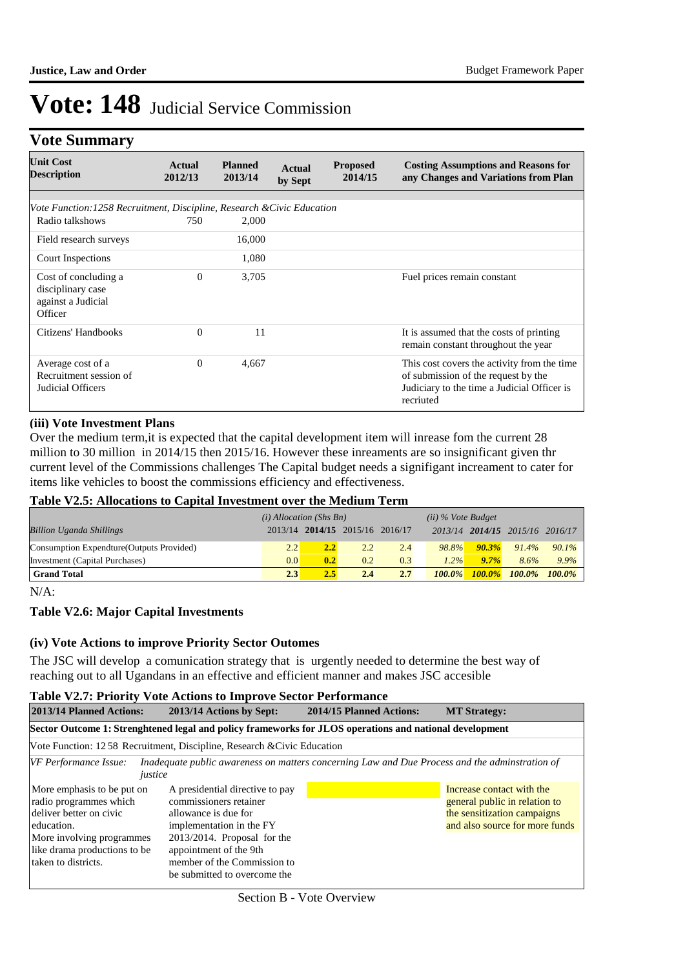## **Vote Summary**

| <b>Unit Cost</b><br><b>Description</b>                                     | Actual<br>2012/13 | <b>Planned</b><br>2013/14 | <b>Actual</b><br>by Sept | <b>Proposed</b><br>2014/15 | <b>Costing Assumptions and Reasons for</b><br>any Changes and Variations from Plan                                                             |
|----------------------------------------------------------------------------|-------------------|---------------------------|--------------------------|----------------------------|------------------------------------------------------------------------------------------------------------------------------------------------|
|                                                                            |                   |                           |                          |                            |                                                                                                                                                |
| Vote Function: 1258 Recruitment, Discipline, Research & Civic Education    |                   |                           |                          |                            |                                                                                                                                                |
| Radio talkshows                                                            | 750               | 2,000                     |                          |                            |                                                                                                                                                |
| Field research surveys                                                     |                   | 16,000                    |                          |                            |                                                                                                                                                |
| Court Inspections                                                          |                   | 1,080                     |                          |                            |                                                                                                                                                |
| Cost of concluding a<br>disciplinary case<br>against a Judicial<br>Officer | $\Omega$          | 3,705                     |                          |                            | Fuel prices remain constant                                                                                                                    |
| Citizens' Handbooks                                                        | $\Omega$          | 11                        |                          |                            | It is assumed that the costs of printing<br>remain constant throughout the year                                                                |
| Average cost of a<br>Recruitment session of<br>Judicial Officers           | $\Omega$          | 4,667                     |                          |                            | This cost covers the activity from the time<br>of submission of the request by the<br>Judiciary to the time a Judicial Officer is<br>recriuted |

#### **(iii) Vote Investment Plans**

Over the medium term,it is expected that the capital development item will inrease fom the current 28 million to 30 million in 2014/15 then 2015/16. However these inreaments are so insignificant given thr current level of the Commissions challenges The Capital budget needs a signifigant increament to cater for items like vehicles to boost the commissions efficiency and effectiveness.

#### **Table V2.5: Allocations to Capital Investment over the Medium Term**

|                                           | $(i)$ Allocation (Shs Bn) |     |                                 | $(ii)$ % Vote Budget |               |           |                                 |           |
|-------------------------------------------|---------------------------|-----|---------------------------------|----------------------|---------------|-----------|---------------------------------|-----------|
| <b>Billion Uganda Shillings</b>           |                           |     | 2013/14 2014/15 2015/16 2016/17 |                      |               |           | 2013/14 2014/15 2015/16 2016/17 |           |
| Consumption Expendture (Outputs Provided) | 2.2                       | 2.2 | 2.2                             | 2.4                  | 98.8%         | $90.3\%$  | 91.4%                           | $90.1\%$  |
| Investment (Capital Purchases)            | 0.0                       | 0.2 | 0.2                             | 0.3                  | $1.2\%$       | 9.7%      | 8.6%                            | 9.9%      |
| <b>Grand Total</b>                        | 2.3                       | 2.5 | 2.4                             | 2.7                  | <b>100.0%</b> | $100.0\%$ | $100.0\%$                       | $100.0\%$ |

N/A:

#### **Table V2.6: Major Capital Investments**

#### **(iv) Vote Actions to improve Priority Sector Outomes**

The JSC will develop a comunication strategy that is urgently needed to determine the best way of reaching out to all Ugandans in an effective and efficient manner and makes JSC accesible

#### **Table V2.7: Priority Vote Actions to Improve Sector Performance**

|                                                                                                                                                                                   | TWOLE $\overline{1}$ and $\overline{1}$ and $\overline{1}$ are the computational control $\overline{1}$ and $\overline{1}$ and $\overline{1}$                                                                                            |                          |                                                                                                                             |  |  |  |  |  |
|-----------------------------------------------------------------------------------------------------------------------------------------------------------------------------------|------------------------------------------------------------------------------------------------------------------------------------------------------------------------------------------------------------------------------------------|--------------------------|-----------------------------------------------------------------------------------------------------------------------------|--|--|--|--|--|
| 2013/14 Planned Actions:                                                                                                                                                          | 2013/14 Actions by Sept:                                                                                                                                                                                                                 | 2014/15 Planned Actions: | <b>MT Strategy:</b>                                                                                                         |  |  |  |  |  |
| Sector Outcome 1: Strenghtened legal and policy frameworks for JLOS operations and national development                                                                           |                                                                                                                                                                                                                                          |                          |                                                                                                                             |  |  |  |  |  |
|                                                                                                                                                                                   | Vote Function: 12.58 Recruitment, Discipline, Research & Civic Education                                                                                                                                                                 |                          |                                                                                                                             |  |  |  |  |  |
| VF Performance Issue:<br>justice                                                                                                                                                  | Inadequate public awareness on matters concerning Law and Due Process and the adminitration of                                                                                                                                           |                          |                                                                                                                             |  |  |  |  |  |
| More emphasis to be put on<br>radio programmes which<br>deliver better on civic<br>education.<br>More involving programmes<br>like drama productions to be<br>taken to districts. | A presidential directive to pay<br>commissioners retainer<br>allowance is due for<br>implementation in the FY<br>$2013/2014$ . Proposal for the<br>appointment of the 9th<br>member of the Commission to<br>be submitted to overcome the |                          | Increase contact with the<br>general public in relation to<br>the sensitization campaigns<br>and also source for more funds |  |  |  |  |  |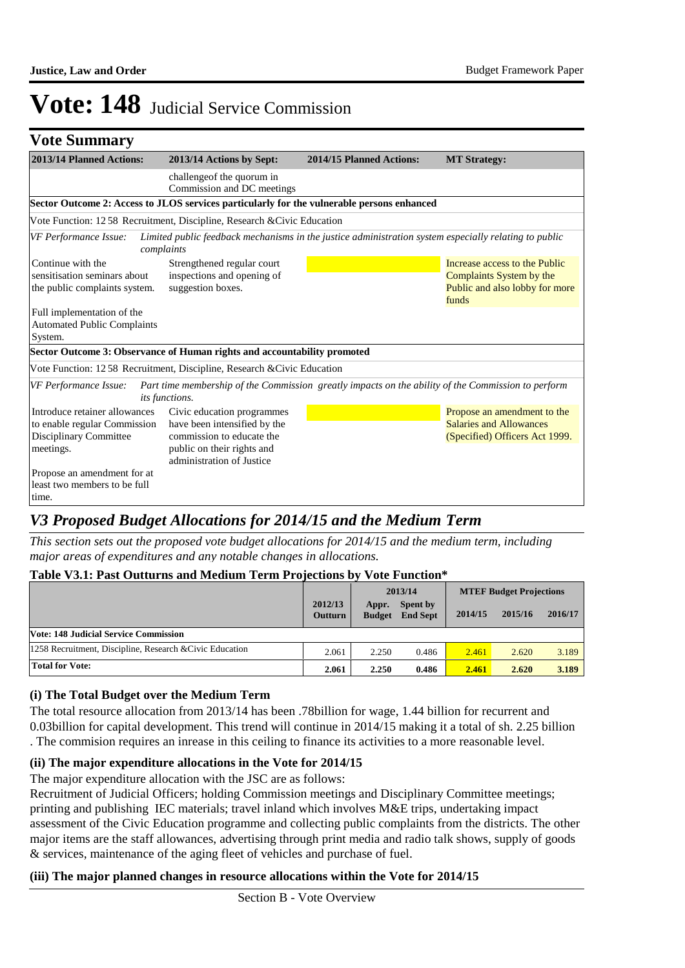### **Vote Summary**

| 2013/14 Planned Actions:                                                                                                                                            | 2013/14 Actions by Sept:                                                                                                                           | 2014/15 Planned Actions: | <b>MT Strategy:</b>                                                                                  |
|---------------------------------------------------------------------------------------------------------------------------------------------------------------------|----------------------------------------------------------------------------------------------------------------------------------------------------|--------------------------|------------------------------------------------------------------------------------------------------|
|                                                                                                                                                                     | challengeof the quorum in<br>Commission and DC meetings                                                                                            |                          |                                                                                                      |
|                                                                                                                                                                     | Sector Outcome 2: Access to JLOS services particularly for the vulnerable persons enhanced                                                         |                          |                                                                                                      |
|                                                                                                                                                                     | Vote Function: 12 58 Recruitment, Discipline, Research & Civic Education                                                                           |                          |                                                                                                      |
| <b>VF Performance Issue:</b><br>complaints                                                                                                                          | Limited public feedback mechanisms in the justice administration system especially relating to public                                              |                          |                                                                                                      |
| Continue with the<br>Strengthened regular court<br>inspections and opening of<br>sensitisation seminars about<br>the public complaints system.<br>suggestion boxes. |                                                                                                                                                    |                          | Increase access to the Public<br>Complaints System by the<br>Public and also lobby for more<br>funds |
| Full implementation of the<br><b>Automated Public Complaints</b><br>System.                                                                                         |                                                                                                                                                    |                          |                                                                                                      |
|                                                                                                                                                                     | Sector Outcome 3: Observance of Human rights and accountability promoted                                                                           |                          |                                                                                                      |
|                                                                                                                                                                     | Vote Function: 12 58 Recruitment, Discipline, Research & Civic Education                                                                           |                          |                                                                                                      |
| <b>VF Performance Issue:</b>                                                                                                                                        | Part time membership of the Commission greatly impacts on the ability of the Commission to perform<br>its functions.                               |                          |                                                                                                      |
| Introduce retainer allowances<br>to enable regular Commission<br>Disciplinary Committee<br>meetings.                                                                | Civic education programmes<br>have been intensified by the<br>commission to educate the<br>public on their rights and<br>administration of Justice |                          | Propose an amendment to the<br><b>Salaries and Allowances</b><br>(Specified) Officers Act 1999.      |
| Propose an amendment for at<br>least two members to be full<br>time.                                                                                                |                                                                                                                                                    |                          |                                                                                                      |

## *V3 Proposed Budget Allocations for 2014/15 and the Medium Term*

*This section sets out the proposed vote budget allocations for 2014/15 and the medium term, including major areas of expenditures and any notable changes in allocations.* 

#### **Table V3.1: Past Outturns and Medium Term Projections by Vote Function\***

|                                                          |                           | 2013/14                |                             | <b>MTEF Budget Projections</b> |         |         |
|----------------------------------------------------------|---------------------------|------------------------|-----------------------------|--------------------------------|---------|---------|
|                                                          | 2012/13<br><b>Outturn</b> | Appr.<br><b>Budget</b> | Spent by<br><b>End Sept</b> | 2014/15                        | 2015/16 | 2016/17 |
| <b>Vote: 148 Judicial Service Commission</b>             |                           |                        |                             |                                |         |         |
| 1258 Recruitment, Discipline, Research & Civic Education |                           | 2.250                  | 0.486                       | 2.461                          | 2.620   | 3.189   |
| Total for Vote:                                          | 2.061                     | 2.250                  | 0.486                       | 2.461                          | 2.620   | 3.189   |

#### **(i) The Total Budget over the Medium Term**

The total resource allocation from 2013/14 has been .78billion for wage, 1.44 billion for recurrent and 0.03billion for capital development. This trend will continue in 2014/15 making it a total of sh. 2.25 billion . The commision requires an inrease in this ceiling to finance its activities to a more reasonable level.

#### **(ii) The major expenditure allocations in the Vote for 2014/15**

The major expenditure allocation with the JSC are as follows:

Recruitment of Judicial Officers; holding Commission meetings and Disciplinary Committee meetings; printing and publishing IEC materials; travel inland which involves M&E trips, undertaking impact assessment of the Civic Education programme and collecting public complaints from the districts. The other major items are the staff allowances, advertising through print media and radio talk shows, supply of goods & services, maintenance of the aging fleet of vehicles and purchase of fuel.

#### **(iii) The major planned changes in resource allocations within the Vote for 2014/15**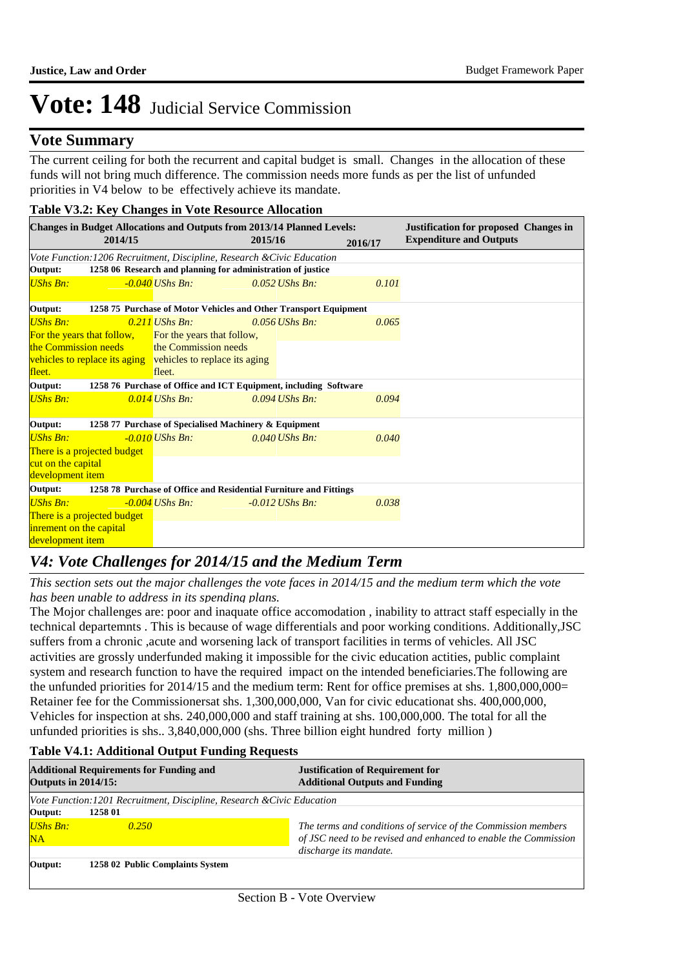### **Vote Summary**

The current ceiling for both the recurrent and capital budget is small. Changes in the allocation of these funds will not bring much difference. The commission needs more funds as per the list of unfunded priorities in V4 below to be effectively achieve its mandate.

| Table V3.2: Key Changes in Vote Resource Allocation                                                                           |                                                                         |                                                                  |         |                   |         |                                |
|-------------------------------------------------------------------------------------------------------------------------------|-------------------------------------------------------------------------|------------------------------------------------------------------|---------|-------------------|---------|--------------------------------|
| <b>Changes in Budget Allocations and Outputs from 2013/14 Planned Levels:</b><br><b>Justification for proposed Changes in</b> |                                                                         |                                                                  |         |                   |         |                                |
|                                                                                                                               | 2014/15                                                                 |                                                                  | 2015/16 |                   | 2016/17 | <b>Expenditure and Outputs</b> |
|                                                                                                                               | Vote Function: 1206 Recruitment, Discipline, Research & Civic Education |                                                                  |         |                   |         |                                |
| Output:                                                                                                                       |                                                                         | 1258 06 Research and planning for administration of justice      |         |                   |         |                                |
| <b>UShs Bn:</b>                                                                                                               |                                                                         | $-0.040$ UShs Bn:                                                |         | $0.052$ UShs Bn:  | 0.101   |                                |
| Output:                                                                                                                       | 1258 75 Purchase of Motor Vehicles and Other Transport Equipment        |                                                                  |         |                   |         |                                |
| <b>UShs Bn:</b>                                                                                                               |                                                                         | $0.211$ UShs Bn:                                                 |         | $0.056$ UShs Bn:  | 0.065   |                                |
|                                                                                                                               | For the years that follow,                                              | For the years that follow,                                       |         |                   |         |                                |
| the Commission needs                                                                                                          |                                                                         | the Commission needs                                             |         |                   |         |                                |
|                                                                                                                               |                                                                         | vehicles to replace its aging vehicles to replace its aging      |         |                   |         |                                |
| fleet.                                                                                                                        |                                                                         | fleet.                                                           |         |                   |         |                                |
| Output:                                                                                                                       |                                                                         | 1258 76 Purchase of Office and ICT Equipment, including Software |         |                   |         |                                |
| <b>UShs Bn:</b>                                                                                                               |                                                                         | $0.014$ UShs Bn:                                                 |         | $0.094$ UShs Bn:  | 0.094   |                                |
| Output:                                                                                                                       | 1258 77 Purchase of Specialised Machinery & Equipment                   |                                                                  |         |                   |         |                                |
| <b>UShs Bn:</b>                                                                                                               |                                                                         | $-0.010$ UShs Bn:                                                |         | $0.040$ UShs Bn:  | 0.040   |                                |
|                                                                                                                               | There is a projected budget                                             |                                                                  |         |                   |         |                                |
| cut on the capital                                                                                                            |                                                                         |                                                                  |         |                   |         |                                |
| development item                                                                                                              |                                                                         |                                                                  |         |                   |         |                                |
| Output:<br>1258 78 Purchase of Office and Residential Furniture and Fittings                                                  |                                                                         |                                                                  |         |                   |         |                                |
| <b>UShs Bn:</b>                                                                                                               |                                                                         | $-0.004$ UShs Bn:                                                |         | $-0.012$ UShs Bn: | 0.038   |                                |
|                                                                                                                               | There is a projected budget                                             |                                                                  |         |                   |         |                                |
| inrement on the capital                                                                                                       |                                                                         |                                                                  |         |                   |         |                                |
| development item                                                                                                              |                                                                         |                                                                  |         |                   |         |                                |

## *V4: Vote Challenges for 2014/15 and the Medium Term*

*This section sets out the major challenges the vote faces in 2014/15 and the medium term which the vote has been unable to address in its spending plans.*

The Mojor challenges are: poor and inaquate office accomodation , inability to attract staff especially in the technical departemnts . This is because of wage differentials and poor working conditions. Additionally,JSC suffers from a chronic ,acute and worsening lack of transport facilities in terms of vehicles. All JSC activities are grossly underfunded making it impossible for the civic education actities, public complaint system and research function to have the required impact on the intended beneficiaries.The following are the unfunded priorities for 2014/15 and the medium term: Rent for office premises at shs. 1,800,000,000= Retainer fee for the Commissionersat shs. 1,300,000,000, Van for civic educationat shs. 400,000,000, Vehicles for inspection at shs. 240,000,000 and staff training at shs. 100,000,000. The total for all the unfunded priorities is shs.. 3,840,000,000 (shs. Three billion eight hundred forty million )

#### **Table V4.1: Additional Output Funding Requests**

| <b>Outputs in 2014/15:</b> | <b>Additional Requirements for Funding and</b>                         | <b>Justification of Requirement for</b><br><b>Additional Outputs and Funding</b>                                                                           |
|----------------------------|------------------------------------------------------------------------|------------------------------------------------------------------------------------------------------------------------------------------------------------|
|                            | Vote Function:1201 Recruitment, Discipline, Research & Civic Education |                                                                                                                                                            |
| Output:                    | 1258 01                                                                |                                                                                                                                                            |
| UShs Bn:<br>NA             | 0.250                                                                  | The terms and conditions of service of the Commission members<br>of JSC need to be revised and enhanced to enable the Commission<br>discharge its mandate. |
| Output:                    | 1258 02 Public Complaints System                                       |                                                                                                                                                            |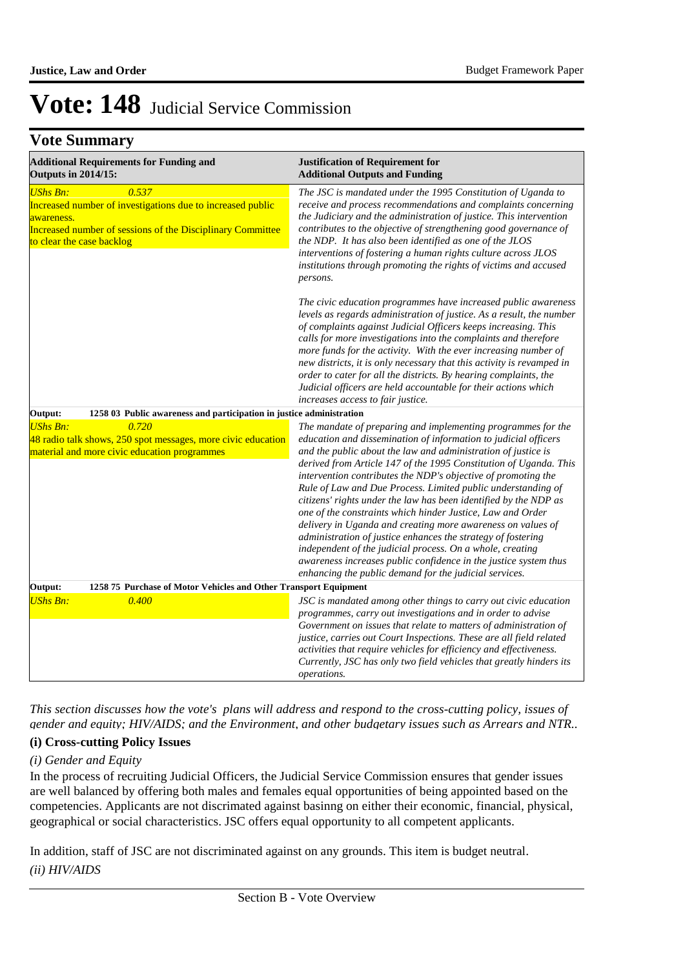### **Vote Summary**

| <b>Additional Requirements for Funding and</b><br><b>Outputs in 2014/15:</b>                                                                                                                    |                                                                      | <b>Justification of Requirement for</b><br><b>Additional Outputs and Funding</b>                                                                                                                                                                                                                                                                                                                                                                                                                                                                                                                                                                                                                                                                                                                                                                                   |  |  |  |  |
|-------------------------------------------------------------------------------------------------------------------------------------------------------------------------------------------------|----------------------------------------------------------------------|--------------------------------------------------------------------------------------------------------------------------------------------------------------------------------------------------------------------------------------------------------------------------------------------------------------------------------------------------------------------------------------------------------------------------------------------------------------------------------------------------------------------------------------------------------------------------------------------------------------------------------------------------------------------------------------------------------------------------------------------------------------------------------------------------------------------------------------------------------------------|--|--|--|--|
| <b>UShs Bn:</b><br>0.537<br>Increased number of investigations due to increased public<br>awareness.<br>Increased number of sessions of the Disciplinary Committee<br>to clear the case backlog |                                                                      | The JSC is mandated under the 1995 Constitution of Uganda to<br>receive and process recommendations and complaints concerning<br>the Judiciary and the administration of justice. This intervention<br>contributes to the objective of strengthening good governance of<br>the NDP. It has also been identified as one of the JLOS<br>interventions of fostering a human rights culture across JLOS<br>institutions through promoting the rights of victims and accused<br>persons.                                                                                                                                                                                                                                                                                                                                                                                |  |  |  |  |
|                                                                                                                                                                                                 |                                                                      | The civic education programmes have increased public awareness<br>levels as regards administration of justice. As a result, the number<br>of complaints against Judicial Officers keeps increasing. This<br>calls for more investigations into the complaints and therefore<br>more funds for the activity. With the ever increasing number of<br>new districts, it is only necessary that this activity is revamped in<br>order to cater for all the districts. By hearing complaints, the<br>Judicial officers are held accountable for their actions which<br>increases access to fair justice.                                                                                                                                                                                                                                                                 |  |  |  |  |
| Output:                                                                                                                                                                                         | 1258 03 Public awareness and participation in justice administration |                                                                                                                                                                                                                                                                                                                                                                                                                                                                                                                                                                                                                                                                                                                                                                                                                                                                    |  |  |  |  |
| <b>UShs Bn:</b><br>0.720<br>48 radio talk shows, 250 spot messages, more civic education<br>material and more civic education programmes                                                        |                                                                      | The mandate of preparing and implementing programmes for the<br>education and dissemination of information to judicial officers<br>and the public about the law and administration of justice is<br>derived from Article 147 of the 1995 Constitution of Uganda. This<br>intervention contributes the NDP's objective of promoting the<br>Rule of Law and Due Process. Limited public understanding of<br>citizens' rights under the law has been identified by the NDP as<br>one of the constraints which hinder Justice, Law and Order<br>delivery in Uganda and creating more awareness on values of<br>administration of justice enhances the strategy of fostering<br>independent of the judicial process. On a whole, creating<br>awareness increases public confidence in the justice system thus<br>enhancing the public demand for the judicial services. |  |  |  |  |
| Output:<br><b>UShs Bn:</b>                                                                                                                                                                      | 1258 75 Purchase of Motor Vehicles and Other Transport Equipment     |                                                                                                                                                                                                                                                                                                                                                                                                                                                                                                                                                                                                                                                                                                                                                                                                                                                                    |  |  |  |  |
| 0.400                                                                                                                                                                                           |                                                                      | JSC is mandated among other things to carry out civic education<br>programmes, carry out investigations and in order to advise<br>Government on issues that relate to matters of administration of<br>justice, carries out Court Inspections. These are all field related<br>activities that require vehicles for efficiency and effectiveness.<br>Currently, JSC has only two field vehicles that greatly hinders its<br>operations.                                                                                                                                                                                                                                                                                                                                                                                                                              |  |  |  |  |

*This section discusses how the vote's plans will address and respond to the cross-cutting policy, issues of gender and equity; HIV/AIDS; and the Environment, and other budgetary issues such as Arrears and NTR..* 

### **(i) Cross-cutting Policy Issues**

#### *(i) Gender and Equity*

In the process of recruiting Judicial Officers, the Judicial Service Commission ensures that gender issues are well balanced by offering both males and females equal opportunities of being appointed based on the competencies. Applicants are not discrimated against basinng on either their economic, financial, physical, geographical or social characteristics. JSC offers equal opportunity to all competent applicants.

In addition, staff of JSC are not discriminated against on any grounds. This item is budget neutral. *(ii) HIV/AIDS*